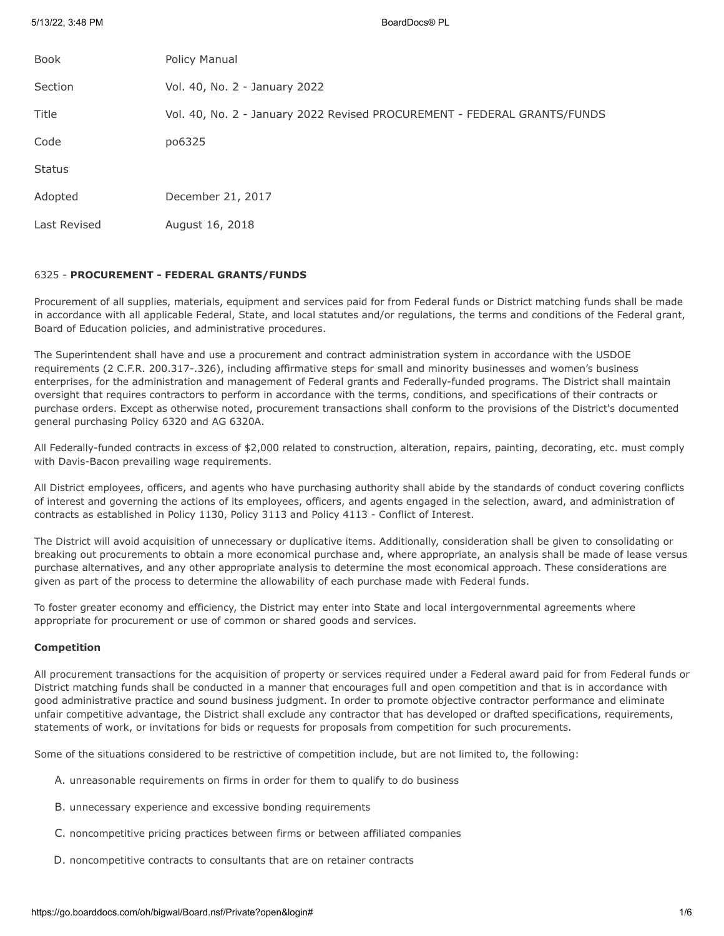5/13/22, 3:48 PM BoardDocs® PL

| Book          | Policy Manual                                                            |
|---------------|--------------------------------------------------------------------------|
| Section       | Vol. 40, No. 2 - January 2022                                            |
| Title         | Vol. 40, No. 2 - January 2022 Revised PROCUREMENT - FEDERAL GRANTS/FUNDS |
| Code          | po6325                                                                   |
| <b>Status</b> |                                                                          |
| Adopted       | December 21, 2017                                                        |
| Last Revised  | August 16, 2018                                                          |
|               |                                                                          |

## 6325 - **PROCUREMENT - FEDERAL GRANTS/FUNDS**

Procurement of all supplies, materials, equipment and services paid for from Federal funds or District matching funds shall be made in accordance with all applicable Federal, State, and local statutes and/or regulations, the terms and conditions of the Federal grant, Board of Education policies, and administrative procedures.

The Superintendent shall have and use a procurement and contract administration system in accordance with the USDOE requirements (2 C.F.R. 200.317-.326), including affirmative steps for small and minority businesses and women's business enterprises, for the administration and management of Federal grants and Federally-funded programs. The District shall maintain oversight that requires contractors to perform in accordance with the terms, conditions, and specifications of their contracts or purchase orders. Except as otherwise noted, procurement transactions shall conform to the provisions of the District's documented general purchasing Policy 6320 and AG 6320A.

All Federally-funded contracts in excess of \$2,000 related to construction, alteration, repairs, painting, decorating, etc. must comply with Davis-Bacon prevailing wage requirements.

All District employees, officers, and agents who have purchasing authority shall abide by the standards of conduct covering conflicts of interest and governing the actions of its employees, officers, and agents engaged in the selection, award, and administration of contracts as established in Policy 1130, Policy 3113 and Policy 4113 - Conflict of Interest.

The District will avoid acquisition of unnecessary or duplicative items. Additionally, consideration shall be given to consolidating or breaking out procurements to obtain a more economical purchase and, where appropriate, an analysis shall be made of lease versus purchase alternatives, and any other appropriate analysis to determine the most economical approach. These considerations are given as part of the process to determine the allowability of each purchase made with Federal funds.

To foster greater economy and efficiency, the District may enter into State and local intergovernmental agreements where appropriate for procurement or use of common or shared goods and services.

## **Competition**

All procurement transactions for the acquisition of property or services required under a Federal award paid for from Federal funds or District matching funds shall be conducted in a manner that encourages full and open competition and that is in accordance with good administrative practice and sound business judgment. In order to promote objective contractor performance and eliminate unfair competitive advantage, the District shall exclude any contractor that has developed or drafted specifications, requirements, statements of work, or invitations for bids or requests for proposals from competition for such procurements.

Some of the situations considered to be restrictive of competition include, but are not limited to, the following:

- A. unreasonable requirements on firms in order for them to qualify to do business
- B. unnecessary experience and excessive bonding requirements
- C. noncompetitive pricing practices between firms or between affiliated companies
- D. noncompetitive contracts to consultants that are on retainer contracts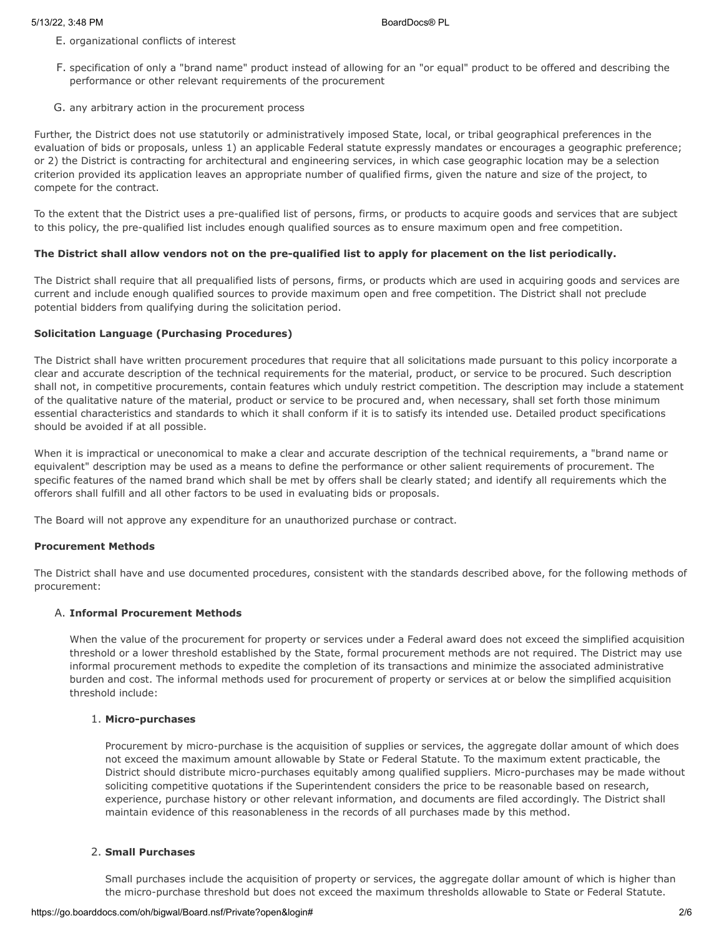- E. organizational conflicts of interest
- F. specification of only a "brand name" product instead of allowing for an "or equal" product to be offered and describing the performance or other relevant requirements of the procurement
- G. any arbitrary action in the procurement process

Further, the District does not use statutorily or administratively imposed State, local, or tribal geographical preferences in the evaluation of bids or proposals, unless 1) an applicable Federal statute expressly mandates or encourages a geographic preference; or 2) the District is contracting for architectural and engineering services, in which case geographic location may be a selection criterion provided its application leaves an appropriate number of qualified firms, given the nature and size of the project, to compete for the contract.

To the extent that the District uses a pre-qualified list of persons, firms, or products to acquire goods and services that are subject to this policy, the pre-qualified list includes enough qualified sources as to ensure maximum open and free competition.

## **The District shall allow vendors not on the pre-qualified list to apply for placement on the list periodically.**

The District shall require that all prequalified lists of persons, firms, or products which are used in acquiring goods and services are current and include enough qualified sources to provide maximum open and free competition. The District shall not preclude potential bidders from qualifying during the solicitation period.

## **Solicitation Language (Purchasing Procedures)**

The District shall have written procurement procedures that require that all solicitations made pursuant to this policy incorporate a clear and accurate description of the technical requirements for the material, product, or service to be procured. Such description shall not, in competitive procurements, contain features which unduly restrict competition. The description may include a statement of the qualitative nature of the material, product or service to be procured and, when necessary, shall set forth those minimum essential characteristics and standards to which it shall conform if it is to satisfy its intended use. Detailed product specifications should be avoided if at all possible.

When it is impractical or uneconomical to make a clear and accurate description of the technical requirements, a "brand name or equivalent" description may be used as a means to define the performance or other salient requirements of procurement. The specific features of the named brand which shall be met by offers shall be clearly stated; and identify all requirements which the offerors shall fulfill and all other factors to be used in evaluating bids or proposals.

The Board will not approve any expenditure for an unauthorized purchase or contract.

## **Procurement Methods**

The District shall have and use documented procedures, consistent with the standards described above, for the following methods of procurement:

# A. **Informal Procurement Methods**

When the value of the procurement for property or services under a Federal award does not exceed the simplified acquisition threshold or a lower threshold established by the State, formal procurement methods are not required. The District may use informal procurement methods to expedite the completion of its transactions and minimize the associated administrative burden and cost. The informal methods used for procurement of property or services at or below the simplified acquisition threshold include:

## 1. **Micro-purchases**

Procurement by micro-purchase is the acquisition of supplies or services, the aggregate dollar amount of which does not exceed the maximum amount allowable by State or Federal Statute. To the maximum extent practicable, the District should distribute micro-purchases equitably among qualified suppliers. Micro-purchases may be made without soliciting competitive quotations if the Superintendent considers the price to be reasonable based on research, experience, purchase history or other relevant information, and documents are filed accordingly. The District shall maintain evidence of this reasonableness in the records of all purchases made by this method.

# 2. **Small Purchases**

Small purchases include the acquisition of property or services, the aggregate dollar amount of which is higher than the micro-purchase threshold but does not exceed the maximum thresholds allowable to State or Federal Statute.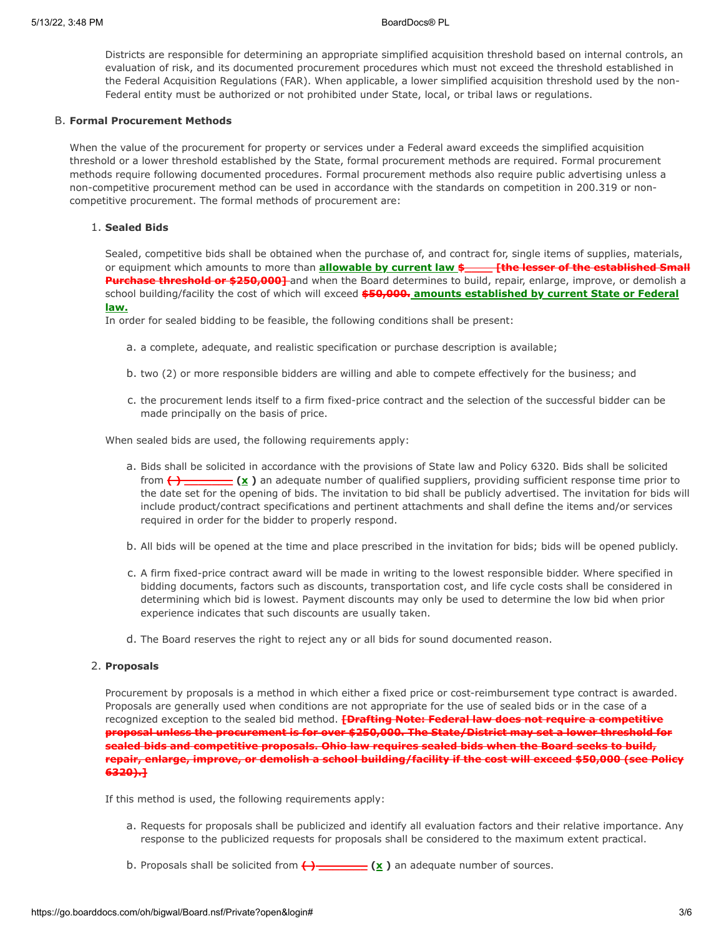Districts are responsible for determining an appropriate simplified acquisition threshold based on internal controls, an evaluation of risk, and its documented procurement procedures which must not exceed the threshold established in the Federal Acquisition Regulations (FAR). When applicable, a lower simplified acquisition threshold used by the non-Federal entity must be authorized or not prohibited under State, local, or tribal laws or regulations.

### B. **Formal Procurement Methods**

When the value of the procurement for property or services under a Federal award exceeds the simplified acquisition threshold or a lower threshold established by the State, formal procurement methods are required. Formal procurement methods require following documented procedures. Formal procurement methods also require public advertising unless a non-competitive procurement method can be used in accordance with the standards on competition in 200.319 or noncompetitive procurement. The formal methods of procurement are:

## 1. **Sealed Bids**

Sealed, competitive bids shall be obtained when the purchase of, and contract for, single items of supplies, materials, or equipment which amounts to more than **allowable by current law \$\_\_\_\_ [the lesser of the established Small Purchase threshold or \$250,000]** and when the Board determines to build, repair, enlarge, improve, or demolish a school building/facility the cost of which will exceed **\$50,000. amounts established by current State or Federal law.**

In order for sealed bidding to be feasible, the following conditions shall be present:

- a. a complete, adequate, and realistic specification or purchase description is available;
- b. two (2) or more responsible bidders are willing and able to compete effectively for the business; and
- c. the procurement lends itself to a firm fixed-price contract and the selection of the successful bidder can be made principally on the basis of price.

When sealed bids are used, the following requirements apply:

- a. Bids shall be solicited in accordance with the provisions of State law and Policy 6320. Bids shall be solicited from **( ) \_\_\_\_\_\_\_ (x )** an adequate number of qualified suppliers, providing sufficient response time prior to the date set for the opening of bids. The invitation to bid shall be publicly advertised. The invitation for bids will include product/contract specifications and pertinent attachments and shall define the items and/or services required in order for the bidder to properly respond.
- b. All bids will be opened at the time and place prescribed in the invitation for bids; bids will be opened publicly.
- c. A firm fixed-price contract award will be made in writing to the lowest responsible bidder. Where specified in bidding documents, factors such as discounts, transportation cost, and life cycle costs shall be considered in determining which bid is lowest. Payment discounts may only be used to determine the low bid when prior experience indicates that such discounts are usually taken.
- d. The Board reserves the right to reject any or all bids for sound documented reason.

#### 2. **Proposals**

Procurement by proposals is a method in which either a fixed price or cost-reimbursement type contract is awarded. Proposals are generally used when conditions are not appropriate for the use of sealed bids or in the case of a recognized exception to the sealed bid method. **[Drafting Note: Federal law does not require a competitive proposal unless the procurement is for over \$250,000. The State/District may set a lower threshold for sealed bids and competitive proposals. Ohio law requires sealed bids when the Board seeks to build, repair, enlarge, improve, or demolish a school building/facility if the cost will exceed \$50,000 (see Policy 6320).]**

If this method is used, the following requirements apply:

- a. Requests for proposals shall be publicized and identify all evaluation factors and their relative importance. Any response to the publicized requests for proposals shall be considered to the maximum extent practical.
- b. Proposals shall be solicited from **( ) \_\_\_\_\_\_\_ (x )** an adequate number of sources.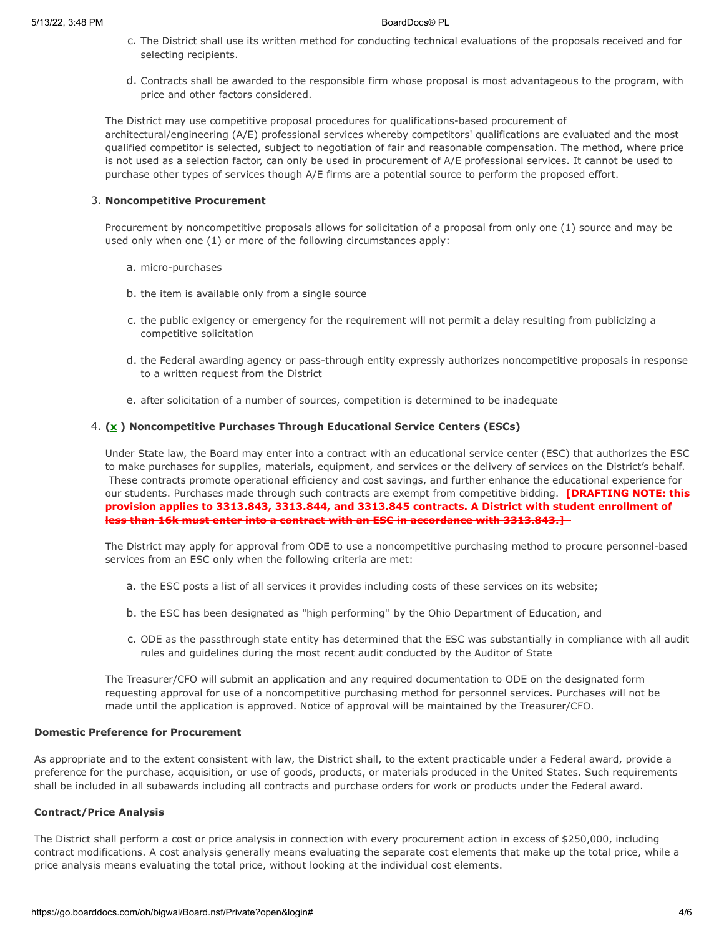- c. The District shall use its written method for conducting technical evaluations of the proposals received and for selecting recipients.
- d. Contracts shall be awarded to the responsible firm whose proposal is most advantageous to the program, with price and other factors considered.

The District may use competitive proposal procedures for qualifications-based procurement of architectural/engineering (A/E) professional services whereby competitors' qualifications are evaluated and the most qualified competitor is selected, subject to negotiation of fair and reasonable compensation. The method, where price is not used as a selection factor, can only be used in procurement of A/E professional services. It cannot be used to purchase other types of services though A/E firms are a potential source to perform the proposed effort.

#### 3. **Noncompetitive Procurement**

Procurement by noncompetitive proposals allows for solicitation of a proposal from only one (1) source and may be used only when one (1) or more of the following circumstances apply:

- a. micro-purchases
- b. the item is available only from a single source
- c. the public exigency or emergency for the requirement will not permit a delay resulting from publicizing a competitive solicitation
- d. the Federal awarding agency or pass-through entity expressly authorizes noncompetitive proposals in response to a written request from the District
- e. after solicitation of a number of sources, competition is determined to be inadequate

## 4. **(x ) Noncompetitive Purchases Through Educational Service Centers (ESCs)**

Under State law, the Board may enter into a contract with an educational service center (ESC) that authorizes the ESC to make purchases for supplies, materials, equipment, and services or the delivery of services on the District's behalf. These contracts promote operational efficiency and cost savings, and further enhance the educational experience for our students. Purchases made through such contracts are exempt from competitive bidding. **[DRAFTING NOTE: this provision applies to 3313.843, 3313.844, and 3313.845 contracts. A District with student enrollment of less than 16k must enter into a contract with an ESC in accordance with 3313.843.]** 

The District may apply for approval from ODE to use a noncompetitive purchasing method to procure personnel-based services from an ESC only when the following criteria are met:

- a. the ESC posts a list of all services it provides including costs of these services on its website;
- b. the ESC has been designated as "high performing'' by the Ohio Department of Education, and
- c. ODE as the passthrough state entity has determined that the ESC was substantially in compliance with all audit rules and guidelines during the most recent audit conducted by the Auditor of State

The Treasurer/CFO will submit an application and any required documentation to ODE on the designated form requesting approval for use of a noncompetitive purchasing method for personnel services. Purchases will not be made until the application is approved. Notice of approval will be maintained by the Treasurer/CFO.

#### **Domestic Preference for Procurement**

As appropriate and to the extent consistent with law, the District shall, to the extent practicable under a Federal award, provide a preference for the purchase, acquisition, or use of goods, products, or materials produced in the United States. Such requirements shall be included in all subawards including all contracts and purchase orders for work or products under the Federal award.

#### **Contract/Price Analysis**

The District shall perform a cost or price analysis in connection with every procurement action in excess of \$250,000, including contract modifications. A cost analysis generally means evaluating the separate cost elements that make up the total price, while a price analysis means evaluating the total price, without looking at the individual cost elements.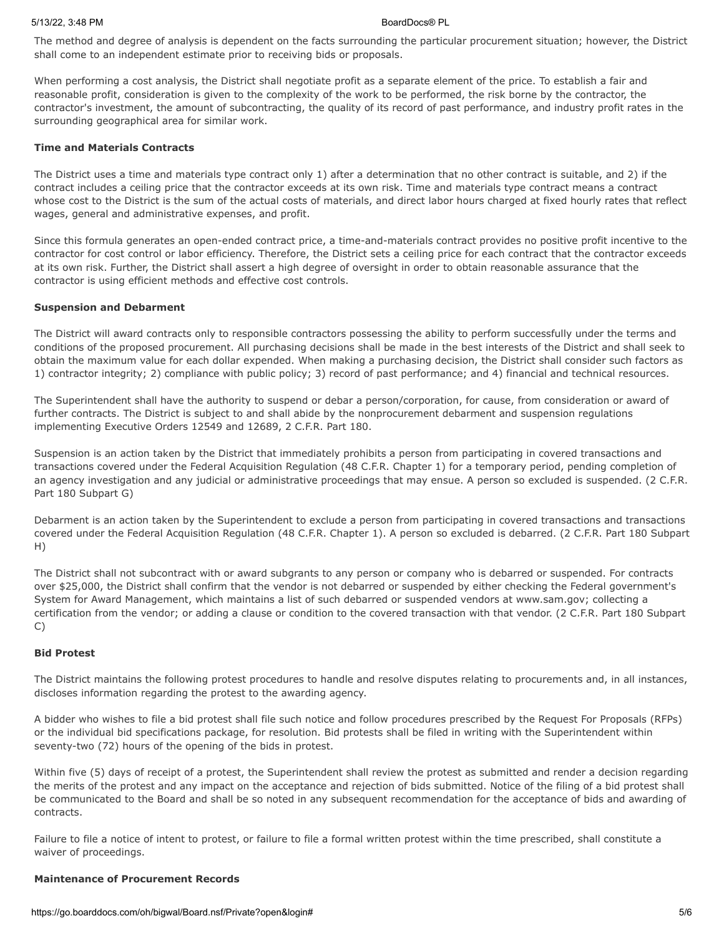#### 5/13/22, 3:48 PM BoardDocs® PL

The method and degree of analysis is dependent on the facts surrounding the particular procurement situation; however, the District shall come to an independent estimate prior to receiving bids or proposals.

When performing a cost analysis, the District shall negotiate profit as a separate element of the price. To establish a fair and reasonable profit, consideration is given to the complexity of the work to be performed, the risk borne by the contractor, the contractor's investment, the amount of subcontracting, the quality of its record of past performance, and industry profit rates in the surrounding geographical area for similar work.

## **Time and Materials Contracts**

The District uses a time and materials type contract only 1) after a determination that no other contract is suitable, and 2) if the contract includes a ceiling price that the contractor exceeds at its own risk. Time and materials type contract means a contract whose cost to the District is the sum of the actual costs of materials, and direct labor hours charged at fixed hourly rates that reflect wages, general and administrative expenses, and profit.

Since this formula generates an open-ended contract price, a time-and-materials contract provides no positive profit incentive to the contractor for cost control or labor efficiency. Therefore, the District sets a ceiling price for each contract that the contractor exceeds at its own risk. Further, the District shall assert a high degree of oversight in order to obtain reasonable assurance that the contractor is using efficient methods and effective cost controls.

### **Suspension and Debarment**

The District will award contracts only to responsible contractors possessing the ability to perform successfully under the terms and conditions of the proposed procurement. All purchasing decisions shall be made in the best interests of the District and shall seek to obtain the maximum value for each dollar expended. When making a purchasing decision, the District shall consider such factors as 1) contractor integrity; 2) compliance with public policy; 3) record of past performance; and 4) financial and technical resources.

The Superintendent shall have the authority to suspend or debar a person/corporation, for cause, from consideration or award of further contracts. The District is subject to and shall abide by the nonprocurement debarment and suspension regulations implementing Executive Orders 12549 and 12689, 2 C.F.R. Part 180.

Suspension is an action taken by the District that immediately prohibits a person from participating in covered transactions and transactions covered under the Federal Acquisition Regulation (48 C.F.R. Chapter 1) for a temporary period, pending completion of an agency investigation and any judicial or administrative proceedings that may ensue. A person so excluded is suspended. (2 C.F.R. Part 180 Subpart G)

Debarment is an action taken by the Superintendent to exclude a person from participating in covered transactions and transactions covered under the Federal Acquisition Regulation (48 C.F.R. Chapter 1). A person so excluded is debarred. (2 C.F.R. Part 180 Subpart H)

The District shall not subcontract with or award subgrants to any person or company who is debarred or suspended. For contracts over \$25,000, the District shall confirm that the vendor is not debarred or suspended by either checking the Federal government's System for Award Management, which maintains a list of such debarred or suspended vendors at www.sam.gov; collecting a certification from the vendor; or adding a clause or condition to the covered transaction with that vendor. (2 C.F.R. Part 180 Subpart C)

#### **Bid Protest**

The District maintains the following protest procedures to handle and resolve disputes relating to procurements and, in all instances, discloses information regarding the protest to the awarding agency.

A bidder who wishes to file a bid protest shall file such notice and follow procedures prescribed by the Request For Proposals (RFPs) or the individual bid specifications package, for resolution. Bid protests shall be filed in writing with the Superintendent within seventy-two (72) hours of the opening of the bids in protest.

Within five (5) days of receipt of a protest, the Superintendent shall review the protest as submitted and render a decision regarding the merits of the protest and any impact on the acceptance and rejection of bids submitted. Notice of the filing of a bid protest shall be communicated to the Board and shall be so noted in any subsequent recommendation for the acceptance of bids and awarding of contracts.

Failure to file a notice of intent to protest, or failure to file a formal written protest within the time prescribed, shall constitute a waiver of proceedings.

#### **Maintenance of Procurement Records**